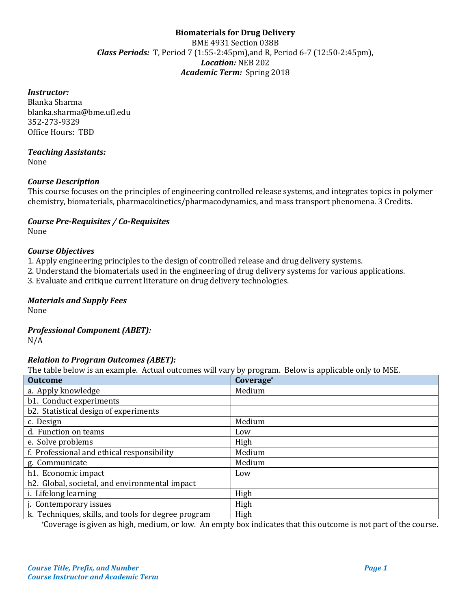# **Biomaterials for Drug Delivery**  BME 4931 Section 038B *Class Periods:* T, Period 7 (1:55-2:45pm),and R, Period 6-7 (12:50-2:45pm), *Location:* NEB 202 *Academic Term:* Spring 2018

#### *Instructor:*

Blanka Sharma blanka.sharma@bme.ufl.edu 352-273-9329 Office Hours: TBD

# *Teaching Assistants:*

None

# *Course Description*

This course focuses on the principles of engineering controlled release systems, and integrates topics in polymer chemistry, biomaterials, pharmacokinetics/pharmacodynamics, and mass transport phenomena. 3 Credits.

#### *Course Pre-Requisites / Co-Requisites* None

#### *Course Objectives*

1. Apply engineering principles to the design of controlled release and drug delivery systems.

2. Understand the biomaterials used in the engineering of drug delivery systems for various applications.

3. Evaluate and critique current literature on drug delivery technologies.

#### *Materials and Supply Fees*

None

# *Professional Component (ABET):*

N/A

# *Relation to Program Outcomes (ABET):*

The table below is an example. Actual outcomes will vary by program. Below is applicable only to MSE.

| <b>Outcome</b>                                      | Coverage* |
|-----------------------------------------------------|-----------|
| a. Apply knowledge                                  | Medium    |
| b1. Conduct experiments                             |           |
| b2. Statistical design of experiments               |           |
| c. Design                                           | Medium    |
| d. Function on teams                                | Low       |
| e. Solve problems                                   | High      |
| f. Professional and ethical responsibility          | Medium    |
| g. Communicate                                      | Medium    |
| h1. Economic impact                                 | Low       |
| h2. Global, societal, and environmental impact      |           |
| i. Lifelong learning                                | High      |
| j. Contemporary issues                              | High      |
| k. Techniques, skills, and tools for degree program | High      |

\*Coverage is given as high, medium, or low. An empty box indicates that this outcome is not part of the course.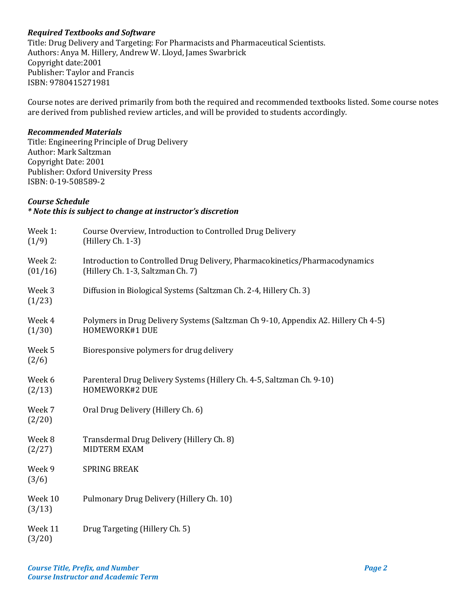# *Required Textbooks and Software*

Title: Drug Delivery and Targeting: For Pharmacists and Pharmaceutical Scientists. Authors: Anya M. Hillery, Andrew W. Lloyd, James Swarbrick Copyright date:2001 Publisher: Taylor and Francis ISBN: 9780415271981

Course notes are derived primarily from both the required and recommended textbooks listed. Some course notes are derived from published review articles, and will be provided to students accordingly.

### *Recommended Materials*

Title: Engineering Principle of Drug Delivery Author: Mark Saltzman Copyright Date: 2001 Publisher: Oxford University Press ISBN: 0-19-508589-2

### *Course Schedule*

# *\* Note this is subject to change at instructor's discretion*

| Week 1:<br>(1/9)   | Course Overview, Introduction to Controlled Drug Delivery<br>(Hillery Ch. 1-3)                                   |
|--------------------|------------------------------------------------------------------------------------------------------------------|
| Week 2:<br>(01/16) | Introduction to Controlled Drug Delivery, Pharmacokinetics/Pharmacodynamics<br>(Hillery Ch. 1-3, Saltzman Ch. 7) |
| Week 3<br>(1/23)   | Diffusion in Biological Systems (Saltzman Ch. 2-4, Hillery Ch. 3)                                                |
| Week 4<br>(1/30)   | Polymers in Drug Delivery Systems (Saltzman Ch 9-10, Appendix A2. Hillery Ch 4-5)<br>HOMEWORK#1 DUE              |
| Week 5<br>(2/6)    | Bioresponsive polymers for drug delivery                                                                         |
| Week 6<br>(2/13)   | Parenteral Drug Delivery Systems (Hillery Ch. 4-5, Saltzman Ch. 9-10)<br><b>HOMEWORK#2 DUE</b>                   |
| Week 7<br>(2/20)   | Oral Drug Delivery (Hillery Ch. 6)                                                                               |
| Week 8<br>(2/27)   | Transdermal Drug Delivery (Hillery Ch. 8)<br><b>MIDTERM EXAM</b>                                                 |
| Week 9<br>(3/6)    | <b>SPRING BREAK</b>                                                                                              |
| Week 10<br>(3/13)  | Pulmonary Drug Delivery (Hillery Ch. 10)                                                                         |
| Week 11<br>(3/20)  | Drug Targeting (Hillery Ch. 5)                                                                                   |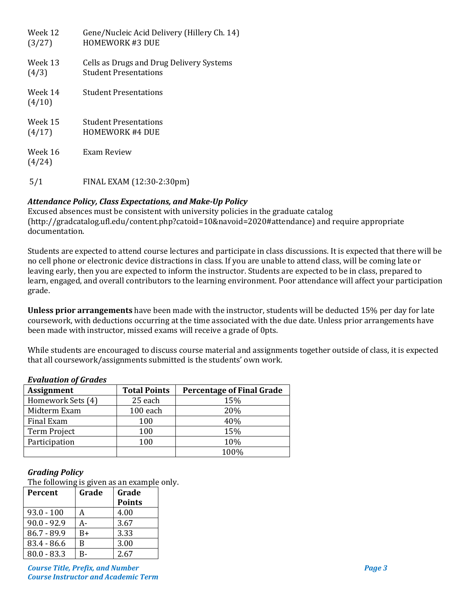| Week 12           | Gene/Nucleic Acid Delivery (Hillery Ch. 14) |
|-------------------|---------------------------------------------|
| (3/27)            | <b>HOMEWORK #3 DUE</b>                      |
| Week 13           | Cells as Drugs and Drug Delivery Systems    |
| (4/3)             | <b>Student Presentations</b>                |
| Week 14<br>(4/10) | <b>Student Presentations</b>                |
| Week 15           | <b>Student Presentations</b>                |
| (4/17)            | <b>HOMEWORK #4 DUE</b>                      |
| Week 16<br>(4/24) | Exam Review                                 |
| 5/1               | FINAL EXAM (12:30-2:30pm)                   |

# *Attendance Policy, Class Expectations, and Make-Up Policy*

Excused absences must be consistent with university policies in the graduate catalog (http://gradcatalog.ufl.edu/content.php?catoid=10&navoid=2020#attendance) and require appropriate documentation.

Students are expected to attend course lectures and participate in class discussions. It is expected that there will be no cell phone or electronic device distractions in class. If you are unable to attend class, will be coming late or leaving early, then you are expected to inform the instructor. Students are expected to be in class, prepared to learn, engaged, and overall contributors to the learning environment. Poor attendance will affect your participation grade.

**Unless prior arrangements** have been made with the instructor, students will be deducted 15% per day for late coursework, with deductions occurring at the time associated with the due date. Unless prior arrangements have been made with instructor, missed exams will receive a grade of 0pts.

While students are encouraged to discuss course material and assignments together outside of class, it is expected that all coursework/assignments submitted is the students' own work.

| <i>Evaluation of al ducs</i> |                                  |  |  |  |
|------------------------------|----------------------------------|--|--|--|
| <b>Total Points</b>          | <b>Percentage of Final Grade</b> |  |  |  |
| 25 each                      | 15%                              |  |  |  |
| 100 each                     | 20%                              |  |  |  |
| 100                          | 40%                              |  |  |  |
| 100                          | 15%                              |  |  |  |
| 100                          | 10%                              |  |  |  |
|                              | 100%                             |  |  |  |
|                              |                                  |  |  |  |

# *Evaluation of Grades*

# *Grading Policy*

The following is given as an example only.

| Percent       | Grade | Grade         |
|---------------|-------|---------------|
|               |       | <b>Points</b> |
| $93.0 - 100$  | А     | 4.00          |
| $90.0 - 92.9$ | А-    | 3.67          |
| $86.7 - 89.9$ | $B+$  | 3.33          |
| $83.4 - 86.6$ | B     | 3.00          |
| $80.0 - 83.3$ | R-    | 2.67          |

*Course Title, Prefix, and Number Page 3 Course Instructor and Academic Term*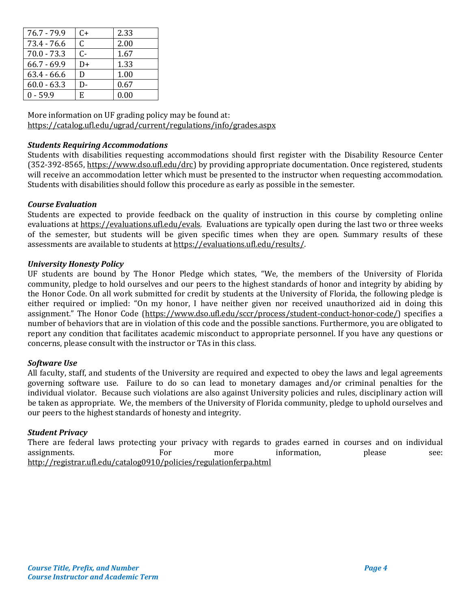| $76.7 - 79.9$ | C+   | 2.33 |
|---------------|------|------|
| $73.4 - 76.6$ | C    | 2.00 |
| $70.0 - 73.3$ | $C-$ | 1.67 |
| $66.7 - 69.9$ | D+   | 1.33 |
| $63.4 - 66.6$ | D    | 1.00 |
| $60.0 - 63.3$ | D-   | 0.67 |
| $0 - 59.9$    | E.   | 0.00 |

More information on UF grading policy may be found at: <https://catalog.ufl.edu/ugrad/current/regulations/info/grades.aspx>

### *Students Requiring Accommodations*

Students with disabilities requesting accommodations should first register with the Disability Resource Center (352-392-8565, https://www.dso.ufl.edu/drc) by providing appropriate documentation. Once registered, students will receive an accommodation letter which must be presented to the instructor when requesting accommodation. Students with disabilities should follow this procedure as early as possible in the semester.

### *Course Evaluation*

Students are expected to provide feedback on the quality of instruction in this course by completing online evaluations a[t https://evaluations.ufl.edu/evals.](https://evaluations.ufl.edu/evals) Evaluations are typically open during the last two or three weeks of the semester, but students will be given specific times when they are open. Summary results of these assessments are available to students at [https://evaluations.ufl.edu/results/.](https://evaluations.ufl.edu/results/)

### *University Honesty Policy*

UF students are bound by The Honor Pledge which states, "We, the members of the University of Florida community, pledge to hold ourselves and our peers to the highest standards of honor and integrity by abiding by the Honor Code. On all work submitted for credit by students at the University of Florida, the following pledge is either required or implied: "On my honor, I have neither given nor received unauthorized aid in doing this assignment." The Honor Code (https://www.dso.ufl.edu/sccr/process/student-conduct-honor-code/) specifies a number of behaviors that are in violation of this code and the possible sanctions. Furthermore, you are obligated to report any condition that facilitates academic misconduct to appropriate personnel. If you have any questions or concerns, please consult with the instructor or TAs in this class.

#### *Software Use*

All faculty, staff, and students of the University are required and expected to obey the laws and legal agreements governing software use. Failure to do so can lead to monetary damages and/or criminal penalties for the individual violator. Because such violations are also against University policies and rules, disciplinary action will be taken as appropriate. We, the members of the University of Florida community, pledge to uphold ourselves and our peers to the highest standards of honesty and integrity.

#### *Student Privacy*

There are federal laws protecting your privacy with regards to grades earned in courses and on individual assignments.<br>For more information, please see: assignments. For more information, please see: <http://registrar.ufl.edu/catalog0910/policies/regulationferpa.html>